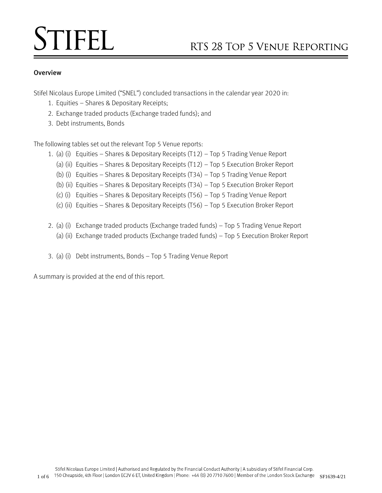# **STIFEL**

# **Overview**

Stifel Nicolaus Europe Limited ("SNEL") concluded transactions in the calendar year 2020 in:

- 1. Equities Shares & Depositary Receipts;
- 2. Exchange traded products (Exchange traded funds); and
- 3. Debt instruments, Bonds

The following tables set out the relevant Top 5 Venue reports:

- 1. (a) (i) Equities Shares & Depositary Receipts (T12) Top 5 Trading Venue Report
	- (a) (ii) Equities Shares & Depositary Receipts (T12) Top 5 Execution Broker Report
	- (b) (i) Equities Shares & Depositary Receipts (T34) Top 5 Trading Venue Report
	- (b) (ii) Equities Shares & Depositary Receipts (T34) Top 5 Execution Broker Report
	- (c) (i) Equities Shares & Depositary Receipts (T56) Top 5 Trading Venue Report
	- (c) (ii) Equities Shares & Depositary Receipts (T56) Top 5 Execution Broker Report
- 2. (a) (i) Exchange traded products (Exchange traded funds) Top 5 Trading Venue Report
	- (a) (ii) Exchange traded products (Exchange traded funds) Top 5 Execution Broker Report
- 3. (a) (i) Debt instruments, Bonds Top 5 Trading Venue Report

A summary is provided at the end of this report.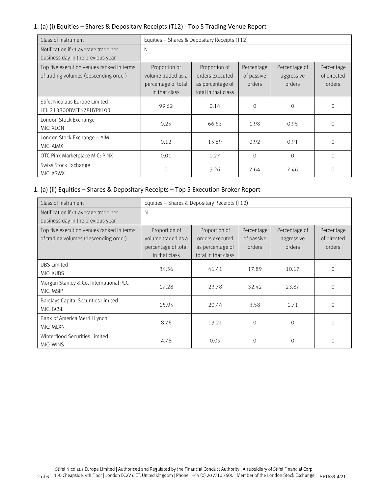## 1. (a) (i) Equities – Shares & Depositary Receipts (T12) - Top 5 Trading Venue Report

| Class of Instrument                                                                | Equities - Shares & Depositary Receipts (T12)                               |                                                                             |                                    |                                       |                                     |  |
|------------------------------------------------------------------------------------|-----------------------------------------------------------------------------|-----------------------------------------------------------------------------|------------------------------------|---------------------------------------|-------------------------------------|--|
| Notification if <1 average trade per<br>business day in the previous year          | N                                                                           |                                                                             |                                    |                                       |                                     |  |
| Top five execution venues ranked in terms<br>of trading volumes (descending order) | Proportion of<br>volume traded as a<br>percentage of total<br>in that class | Proportion of<br>orders executed<br>as percentage of<br>total in that class | Percentage<br>of passive<br>orders | Percentage of<br>aggressive<br>orders | Percentage<br>of directed<br>orders |  |
| Stifel Nicolaus Europe Limited<br>LEI: 213800BVEFNZ8UYPKL03                        | 99.62                                                                       | 0.14                                                                        | $\Omega$                           | $\Omega$                              | $\Omega$                            |  |
| London Stock Exchange<br>MIC: XLON                                                 | 0.25                                                                        | 66.53                                                                       | 1.98                               | 0.95                                  | $\mathcal{O}$                       |  |
| London Stock Exchange - AIM<br>MIC: AIMX                                           | 0.12                                                                        | 15.89                                                                       | 0.92                               | 0.91                                  | $\Omega$                            |  |
| OTC Pink Marketplace MIC: PINX                                                     | 0.01                                                                        | 0.27                                                                        | $\Omega$                           | $\Omega$                              | $\Omega$                            |  |
| Swiss Stock Exchange<br>MIC: XSWX                                                  | $\Omega$                                                                    | 3.26                                                                        | 7.64                               | 7.46                                  |                                     |  |

# 1. (a) (ii) Equities – Shares & Depositary Receipts – Top 5 Execution Broker Report

| Class of Instrument                                                                | Equities - Shares & Depositary Receipts (T12)                               |                                                                             |                                    |                                       |                                     |
|------------------------------------------------------------------------------------|-----------------------------------------------------------------------------|-----------------------------------------------------------------------------|------------------------------------|---------------------------------------|-------------------------------------|
| Notification if <1 average trade per<br>business day in the previous year          | N                                                                           |                                                                             |                                    |                                       |                                     |
| Top five execution venues ranked in terms<br>of trading volumes (descending order) | Proportion of<br>volume traded as a<br>percentage of total<br>in that class | Proportion of<br>orders executed<br>as percentage of<br>total in that class | Percentage<br>of passive<br>orders | Percentage of<br>aggressive<br>orders | Percentage<br>of directed<br>orders |
| <b>UBS Limited</b><br>MIC: XUBS                                                    | 34.56                                                                       | 41.41                                                                       | 17.89                              | 10.17                                 | $\mathbf 0$                         |
| Morgan Stanley & Co. International PLC<br>MIC: MSIP                                | 17.28                                                                       | 23.78                                                                       | 32.42                              | 23.87                                 | $\Omega$                            |
| Barclays Capital Securities Limited<br>MIC: BCSL                                   | 15.95                                                                       | 20.44                                                                       | 3.58                               | 1.71                                  | $\Omega$                            |
| Bank of America Merrill Lynch<br>MIC: MLXN                                         | 8.76                                                                        | 13.21                                                                       | $\Omega$                           | $\Omega$                              | $\Omega$                            |
| Winterflood Securities Limited<br>MIC: WINS                                        | 4.78                                                                        | 0.09                                                                        | $\Omega$                           | $\Omega$                              | 0                                   |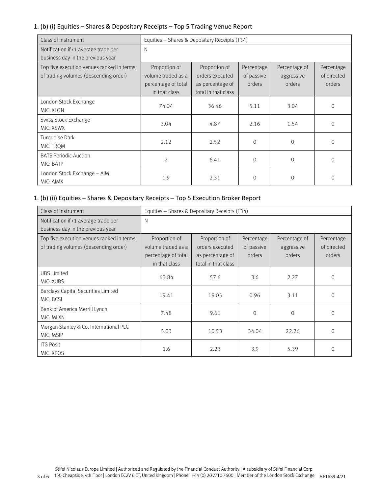## 1. (b) (i) Equities – Shares & Depositary Receipts – Top 5 Trading Venue Report

| Class of Instrument                                                                | Equities - Shares & Depositary Receipts (T34)                               |                                                                             |                                    |                                       |                                     |
|------------------------------------------------------------------------------------|-----------------------------------------------------------------------------|-----------------------------------------------------------------------------|------------------------------------|---------------------------------------|-------------------------------------|
| Notification if <1 average trade per<br>business day in the previous year          | N                                                                           |                                                                             |                                    |                                       |                                     |
| Top five execution venues ranked in terms<br>of trading volumes (descending order) | Proportion of<br>volume traded as a<br>percentage of total<br>in that class | Proportion of<br>orders executed<br>as percentage of<br>total in that class | Percentage<br>of passive<br>orders | Percentage of<br>aggressive<br>orders | Percentage<br>of directed<br>orders |
| London Stock Exchange<br>MIC: XLON                                                 | 74.04                                                                       | 36.46                                                                       | 5.11                               | 3.04                                  | $\mathcal{O}$                       |
| Swiss Stock Exchange<br>MIC: XSWX                                                  | 3.04                                                                        | 4.87                                                                        | 2.16                               | 1.54                                  | $\Omega$                            |
| Turquoise Dark<br>MIC: TROM                                                        | 2.12                                                                        | 2.52                                                                        | $\Omega$                           | $\Omega$                              | $\Omega$                            |
| <b>BATS Periodic Auction</b><br>MIC: BATP                                          | $\overline{2}$                                                              | 6.41                                                                        | $\Omega$                           | $\Omega$                              | $\Omega$                            |
| London Stock Exchange - AIM<br>MIC: AIMX                                           | 1.9                                                                         | 2.31                                                                        | $\Omega$                           | $\Omega$                              | $\Omega$                            |

### 1. (b) (ii) Equities – Shares & Depositary Receipts – Top 5 Execution Broker Report

| Class of Instrument                                                                | Equities - Shares & Depositary Receipts (T34)                               |                                                                             |                                    |                                       |                                     |
|------------------------------------------------------------------------------------|-----------------------------------------------------------------------------|-----------------------------------------------------------------------------|------------------------------------|---------------------------------------|-------------------------------------|
| Notification if <1 average trade per<br>business day in the previous year          | N                                                                           |                                                                             |                                    |                                       |                                     |
| Top five execution venues ranked in terms<br>of trading volumes (descending order) | Proportion of<br>volume traded as a<br>percentage of total<br>in that class | Proportion of<br>orders executed<br>as percentage of<br>total in that class | Percentage<br>of passive<br>orders | Percentage of<br>aggressive<br>orders | Percentage<br>of directed<br>orders |
| <b>UBS Limited</b><br>MIC: XUBS                                                    | 63.84                                                                       | 57.6                                                                        | 3.6                                | 2.27                                  | $\mathbf 0$                         |
| Barclays Capital Securities Limited<br>MIC: BCSL                                   | 19.41                                                                       | 19.05                                                                       | 0.96                               | 3.11                                  | $\Omega$                            |
| Bank of America Merrill Lynch<br>MIC: MLXN                                         | 7.48                                                                        | 9.61                                                                        | $\Omega$                           | $\Omega$                              | $\overline{0}$                      |
| Morgan Stanley & Co. International PLC<br>MIC: MSIP                                | 5.03                                                                        | 10.53                                                                       | 34.04                              | 22.26                                 | $\Omega$                            |
| <b>ITG Posit</b><br>MIC: XPOS                                                      | 1.6                                                                         | 2.23                                                                        | 3.9                                | 5.39                                  | $\Omega$                            |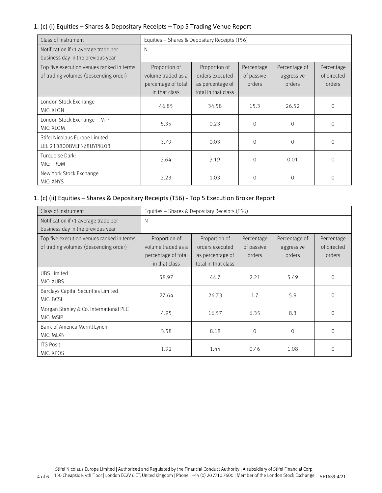### 1. (c) (i) Equities – Shares & Depositary Receipts – Top 5 Trading Venue Report

| Class of Instrument                                                                | Equities - Shares & Depositary Receipts (T56)                               |                                                                             |                                    |                                       |                                     |
|------------------------------------------------------------------------------------|-----------------------------------------------------------------------------|-----------------------------------------------------------------------------|------------------------------------|---------------------------------------|-------------------------------------|
| Notification if <1 average trade per<br>business day in the previous year          | N                                                                           |                                                                             |                                    |                                       |                                     |
| Top five execution venues ranked in terms<br>of trading volumes (descending order) | Proportion of<br>volume traded as a<br>percentage of total<br>in that class | Proportion of<br>orders executed<br>as percentage of<br>total in that class | Percentage<br>of passive<br>orders | Percentage of<br>aggressive<br>orders | Percentage<br>of directed<br>orders |
| London Stock Exchange<br>MIC: XLON                                                 | 46.85                                                                       | 34.58                                                                       | 15.3                               | 26.52                                 | $\mathcal{O}$                       |
| London Stock Exchange - MTF<br>MIC: XLOM                                           | 5.35                                                                        | 0.23                                                                        | $\Omega$                           | $\Omega$                              | $\Omega$                            |
| Stifel Nicolaus Europe Limited<br>LEI: 213800BVEFNZ8UYPKL03                        | 3.79                                                                        | 0.03                                                                        | $\Omega$                           | $\Omega$                              | $\Omega$                            |
| Turquoise Dark:<br>MIC: TROM                                                       | 3.64                                                                        | 3.19                                                                        | $\Omega$                           | 0.01                                  | $\Omega$                            |
| New York Stock Exchange<br>MIC: XNYS                                               | 3.23                                                                        | 1.03                                                                        | $\Omega$                           | $\Omega$                              | $\Omega$                            |

## 1. (c) (ii) Equities – Shares & Depositary Receipts (T56) - Top 5 Execution Broker Report

| Class of Instrument                                                                | Equities - Shares & Depositary Receipts (T56)                               |                                                                             |                                    |                                       |                                     |
|------------------------------------------------------------------------------------|-----------------------------------------------------------------------------|-----------------------------------------------------------------------------|------------------------------------|---------------------------------------|-------------------------------------|
| Notification if <1 average trade per<br>business day in the previous year          | N                                                                           |                                                                             |                                    |                                       |                                     |
| Top five execution venues ranked in terms<br>of trading volumes (descending order) | Proportion of<br>volume traded as a<br>percentage of total<br>in that class | Proportion of<br>orders executed<br>as percentage of<br>total in that class | Percentage<br>of passive<br>orders | Percentage of<br>aggressive<br>orders | Percentage<br>of directed<br>orders |
| <b>UBS Limited</b><br>MIC: XUBS                                                    | 58.97                                                                       | 44.7                                                                        | 2.21                               | 5.49                                  | $\mathcal{O}$                       |
| Barclays Capital Securities Limited<br>MIC: BCSL                                   | 27.64                                                                       | 26.73                                                                       | 1.7                                | 5.9                                   | $\Omega$                            |
| Morgan Stanley & Co. International PLC<br>MIC: MSIP                                | 4.95                                                                        | 16.57                                                                       | 6.35                               | 8.3                                   | $\overline{0}$                      |
| Bank of America Merrill Lynch<br>MIC: MLXN                                         | 3.58                                                                        | 8.18                                                                        | $\Omega$                           | $\Omega$                              | $\Omega$                            |
| <b>ITG Posit</b><br>MIC: XPOS                                                      | 1.92                                                                        | 1.44                                                                        | 0.46                               | 1.08                                  | $\Omega$                            |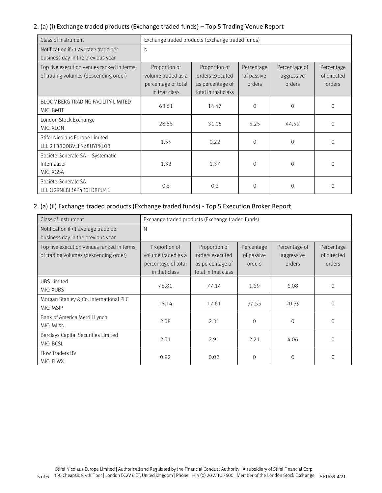## 2. (a) (i) Exchange traded products (Exchange traded funds) – Top 5 Trading Venue Report

| Class of Instrument                                                                | Exchange traded products (Exchange traded funds)                            |                                                                             |                                    |                                       |                                     |
|------------------------------------------------------------------------------------|-----------------------------------------------------------------------------|-----------------------------------------------------------------------------|------------------------------------|---------------------------------------|-------------------------------------|
| Notification if <1 average trade per<br>business day in the previous year          | N                                                                           |                                                                             |                                    |                                       |                                     |
| Top five execution venues ranked in terms<br>of trading volumes (descending order) | Proportion of<br>volume traded as a<br>percentage of total<br>in that class | Proportion of<br>orders executed<br>as percentage of<br>total in that class | Percentage<br>of passive<br>orders | Percentage of<br>aggressive<br>orders | Percentage<br>of directed<br>orders |
| BLOOMBERG TRADING FACILITY LIMITED<br>MIC: BMTF                                    | 63.61                                                                       | 14.47                                                                       | $\Omega$                           | $\Omega$                              | $\mathbf 0$                         |
| London Stock Exchange<br>MIC: XLON                                                 | 28.85                                                                       | 31.15                                                                       | 5.25                               | 44.59                                 | $\overline{O}$                      |
| Stifel Nicolaus Europe Limited<br>LEI: 213800BVEFNZ8UYPKL03                        | 1.55                                                                        | 0.22                                                                        | $\Omega$                           | $\Omega$                              | $\Omega$                            |
| Societe Generale SA - Systematic<br>Internaliser<br>MIC: XGSA                      | 1.32                                                                        | 1.37                                                                        | $\Omega$                           | $\Omega$                              | $\Omega$                            |
| Societe Generale SA<br>LEI: 02RNE8IBXP4R0TD8PU41                                   | 0.6                                                                         | 0.6                                                                         | $\Omega$                           | $\Omega$                              | 0                                   |

# 2. (a) (ii) Exchange traded products (Exchange traded funds) - Top 5 Execution Broker Report

| Class of Instrument                                                                | Exchange traded products (Exchange traded funds)                            |                                                                             |                                    |                                       |                                     |
|------------------------------------------------------------------------------------|-----------------------------------------------------------------------------|-----------------------------------------------------------------------------|------------------------------------|---------------------------------------|-------------------------------------|
| Notification if <1 average trade per<br>business day in the previous year          | N                                                                           |                                                                             |                                    |                                       |                                     |
| Top five execution venues ranked in terms<br>of trading volumes (descending order) | Proportion of<br>volume traded as a<br>percentage of total<br>in that class | Proportion of<br>orders executed<br>as percentage of<br>total in that class | Percentage<br>of passive<br>orders | Percentage of<br>aggressive<br>orders | Percentage<br>of directed<br>orders |
| <b>UBS Limited</b><br>MIC: XUBS                                                    | 76.81                                                                       | 77.14                                                                       | 1.69                               | 6.08                                  | $\circ$                             |
| Morgan Stanley & Co. International PLC<br>MIC: MSIP                                | 18.14                                                                       | 17.61                                                                       | 37.55                              | 20.39                                 | $\Omega$                            |
| Bank of America Merrill Lynch<br>MIC: MLXN                                         | 2.08                                                                        | 2.31                                                                        | $\Omega$                           | $\Omega$                              | $\Omega$                            |
| Barclays Capital Securities Limited<br>MIC: BCSL                                   | 2.01                                                                        | 2.91                                                                        | 2.21                               | 4.06                                  | $\Omega$                            |
| Flow Traders BV<br>MIC: FLWX                                                       | 0.92                                                                        | 0.02                                                                        | $\Omega$                           | $\Omega$                              | $\Omega$                            |